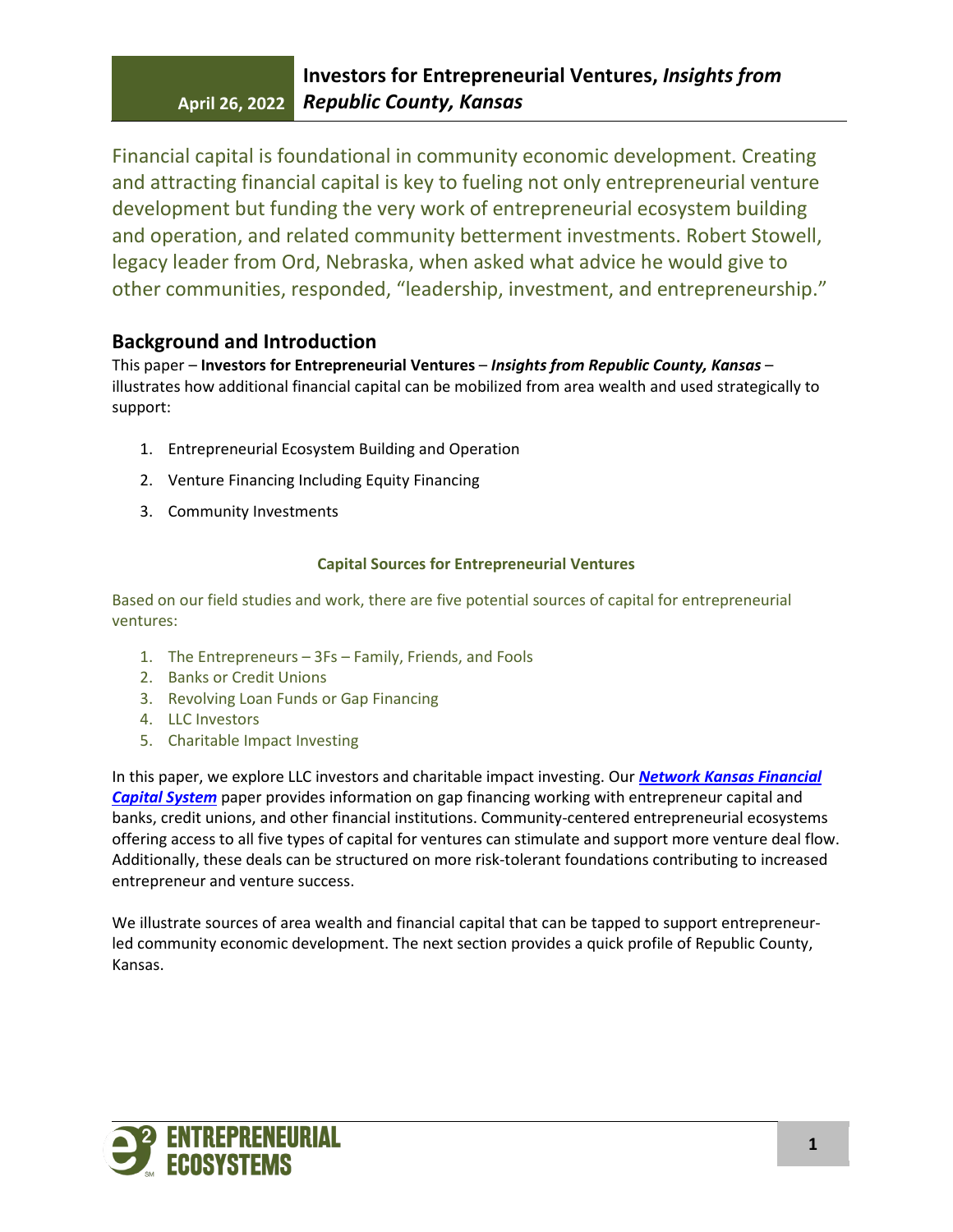Financial capital is foundational in community economic development. Creating and attracting financial capital is key to fueling not only entrepreneurial venture development but funding the very work of entrepreneurial ecosystem building and operation, and related community betterment investments. Robert Stowell, legacy leader from Ord, Nebraska, when asked what advice he would give to other communities, responded, "leadership, investment, and entrepreneurship."

# **Background and Introduction**

This paper – **Investors for Entrepreneurial Ventures** – *Insights from Republic County, Kansas* – illustrates how additional financial capital can be mobilized from area wealth and used strategically to support:

- 1. Entrepreneurial Ecosystem Building and Operation
- 2. Venture Financing Including Equity Financing
- 3. Community Investments

## **Capital Sources for Entrepreneurial Ventures**

Based on our field studies and work, there are five potential sources of capital for entrepreneurial ventures:

- 1. The Entrepreneurs 3Fs Family, Friends, and Fools
- 2. Banks or Credit Unions
- 3. Revolving Loan Funds or Gap Financing
- 4. LLC Investors
- 5. Charitable Impact Investing

In this paper, we explore LLC investors and charitable impact investing. Our *[Network Kansas Financial](https://www.energizingentrepreneurs.org/file_download/0cd6d354-c409-4884-842f-60754aa0a03e)  [Capital System](https://www.energizingentrepreneurs.org/file_download/0cd6d354-c409-4884-842f-60754aa0a03e)* paper provides information on gap financing working with entrepreneur capital and banks, credit unions, and other financial institutions. Community-centered entrepreneurial ecosystems offering access to all five types of capital for ventures can stimulate and support more venture deal flow. Additionally, these deals can be structured on more risk-tolerant foundations contributing to increased entrepreneur and venture success.

We illustrate sources of area wealth and financial capital that can be tapped to support entrepreneurled community economic development. The next section provides a quick profile of Republic County, Kansas.

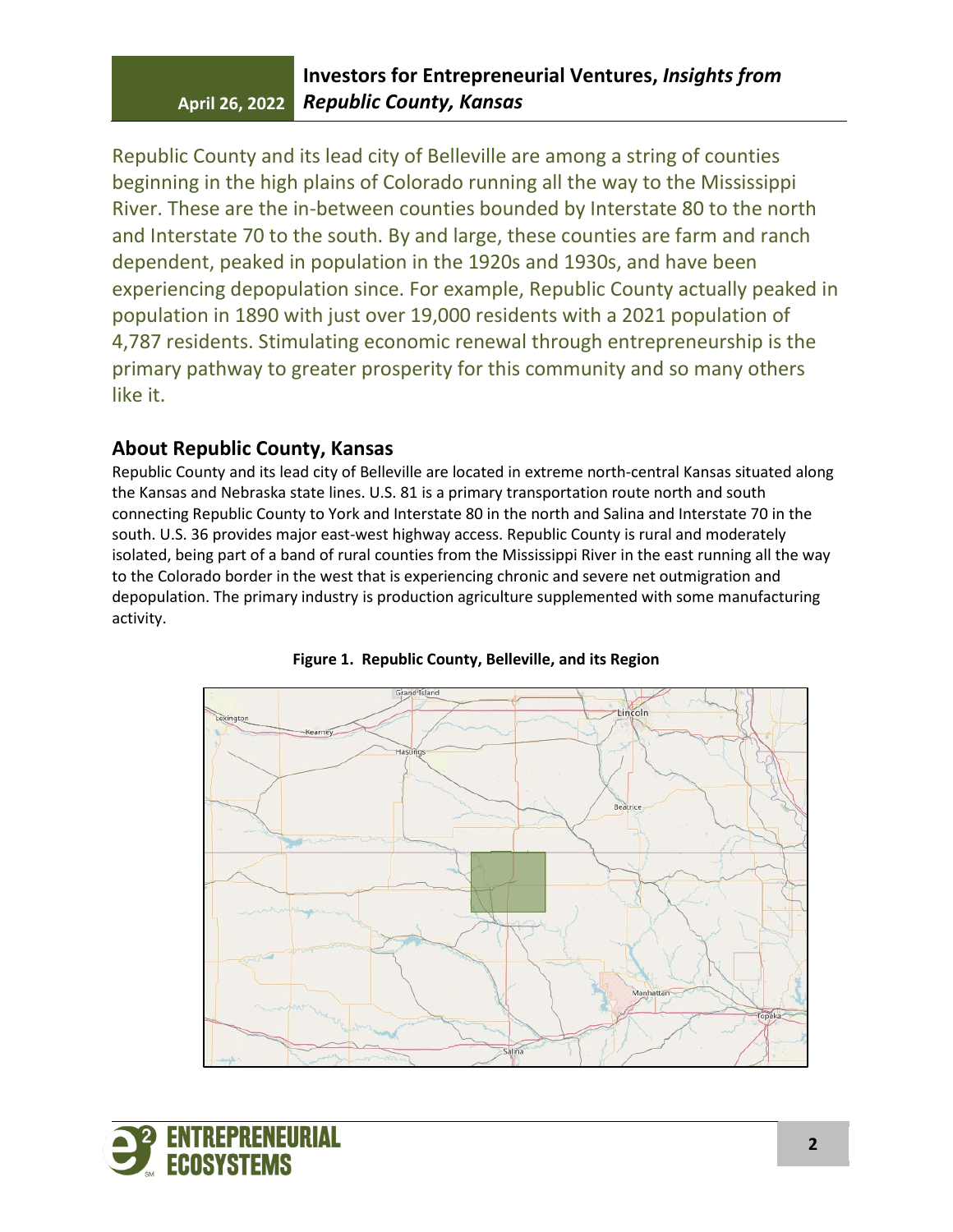Republic County and its lead city of Belleville are among a string of counties beginning in the high plains of Colorado running all the way to the Mississippi River. These are the in-between counties bounded by Interstate 80 to the north and Interstate 70 to the south. By and large, these counties are farm and ranch dependent, peaked in population in the 1920s and 1930s, and have been experiencing depopulation since. For example, Republic County actually peaked in population in 1890 with just over 19,000 residents with a 2021 population of 4,787 residents. Stimulating economic renewal through entrepreneurship is the primary pathway to greater prosperity for this community and so many others like it.

# **About Republic County, Kansas**

Republic County and its lead city of Belleville are located in extreme north-central Kansas situated along the Kansas and Nebraska state lines. U.S. 81 is a primary transportation route north and south connecting Republic County to York and Interstate 80 in the north and Salina and Interstate 70 in the south. U.S. 36 provides major east-west highway access. Republic County is rural and moderately isolated, being part of a band of rural counties from the Mississippi River in the east running all the way to the Colorado border in the west that is experiencing chronic and severe net outmigration and depopulation. The primary industry is production agriculture supplemented with some manufacturing activity.





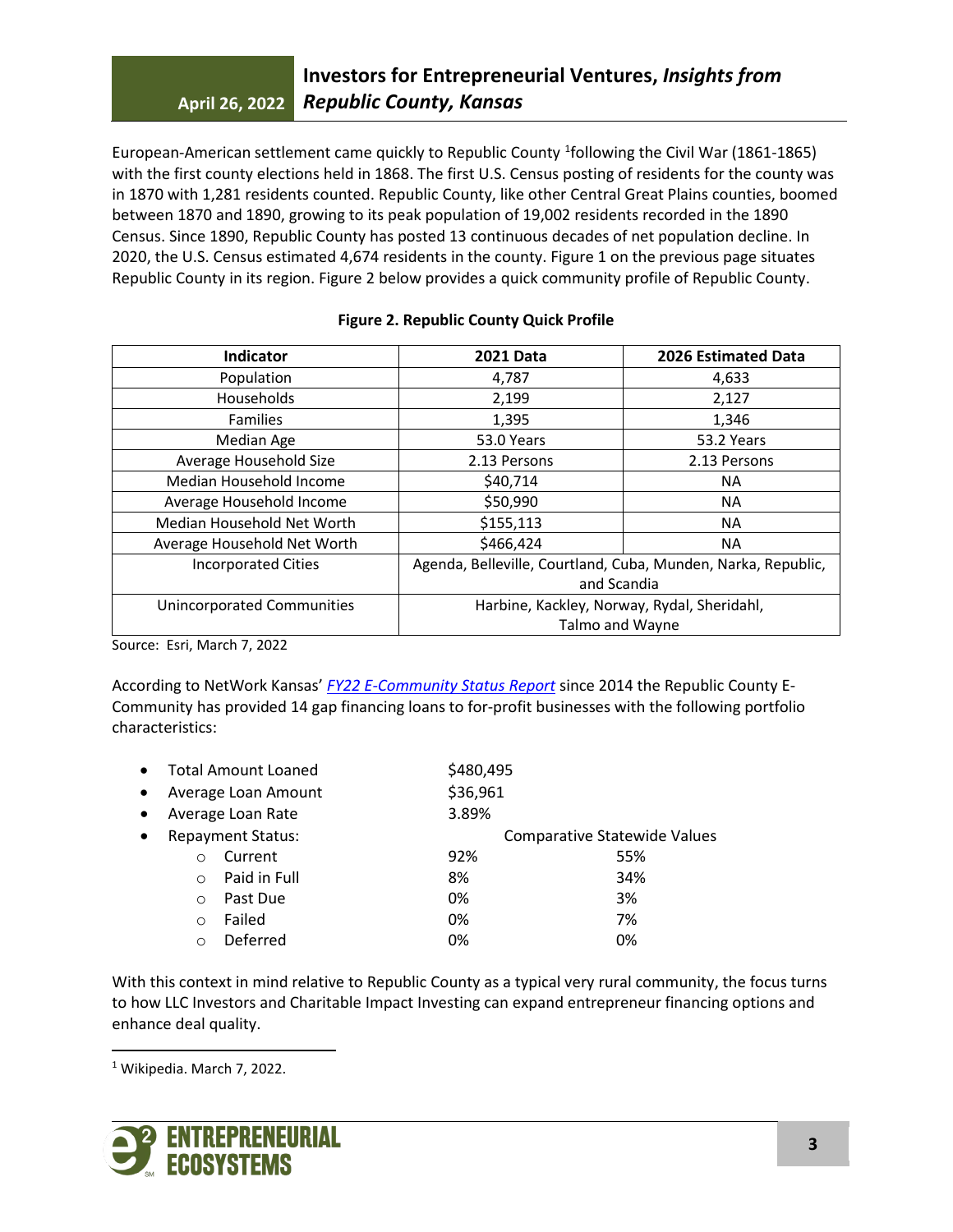European-American settlement came quickly to Republic County <sup>[1](#page-2-0)</sup>following the Civil War (1861-1865) with the first county elections held in 1868. The first U.S. Census posting of residents for the county was in 1870 with 1,281 residents counted. Republic County, like other Central Great Plains counties, boomed between 1870 and 1890, growing to its peak population of 19,002 residents recorded in the 1890 Census. Since 1890, Republic County has posted 13 continuous decades of net population decline. In 2020, the U.S. Census estimated 4,674 residents in the county. Figure 1 on the previous page situates Republic County in its region. Figure 2 below provides a quick community profile of Republic County.

|  |  | <b>Figure 2. Republic County Quick Profile</b> |  |
|--|--|------------------------------------------------|--|
|--|--|------------------------------------------------|--|

| <b>Indicator</b>            | <b>2021 Data</b>                                              | 2026 Estimated Data |
|-----------------------------|---------------------------------------------------------------|---------------------|
| Population                  | 4,787                                                         | 4,633               |
| Households                  | 2,199                                                         | 2,127               |
| <b>Families</b>             | 1,395                                                         | 1,346               |
| Median Age                  | 53.0 Years                                                    | 53.2 Years          |
| Average Household Size      | 2.13 Persons                                                  | 2.13 Persons        |
| Median Household Income     | \$40,714                                                      | <b>NA</b>           |
| Average Household Income    | \$50,990                                                      | <b>NA</b>           |
| Median Household Net Worth  | \$155,113                                                     | <b>NA</b>           |
| Average Household Net Worth | \$466,424                                                     | <b>NA</b>           |
| <b>Incorporated Cities</b>  | Agenda, Belleville, Courtland, Cuba, Munden, Narka, Republic, |                     |
|                             | and Scandia                                                   |                     |
| Unincorporated Communities  | Harbine, Kackley, Norway, Rydal, Sheridahl,                   |                     |
|                             | Talmo and Wayne                                               |                     |

Source: Esri, March 7, 2022

According to NetWork Kansas' *[FY22 E-Community Status Report](https://drive.google.com/file/d/1X3liCOOKzSwl37SI7RiS9yjgyDNphxVn/view?usp=sharing)* since 2014 the Republic County E-Community has provided 14 gap financing loans to for-profit businesses with the following portfolio characteristics:

| $\bullet$ | <b>Total Amount Loaned</b> |              | \$480,495 |                                     |  |
|-----------|----------------------------|--------------|-----------|-------------------------------------|--|
| $\bullet$ | Average Loan Amount        |              | \$36,961  |                                     |  |
| $\bullet$ | Average Loan Rate          |              | 3.89%     |                                     |  |
| $\bullet$ | <b>Repayment Status:</b>   |              |           | <b>Comparative Statewide Values</b> |  |
|           | $\Omega$                   | Current      | 92%       | 55%                                 |  |
|           | $\bigcirc$                 | Paid in Full | 8%        | 34%                                 |  |
|           | $\Omega$                   | Past Due     | 0%        | 3%                                  |  |
|           | $\bigcirc$                 | Failed       | 0%        | 7%                                  |  |
|           | ∩                          | Deferred     | 0%        | 0%                                  |  |
|           |                            |              |           |                                     |  |

With this context in mind relative to Republic County as a typical very rural community, the focus turns to how LLC Investors and Charitable Impact Investing can expand entrepreneur financing options and enhance deal quality.

<span id="page-2-0"></span><sup>1</sup> Wikipedia. March 7, 2022.

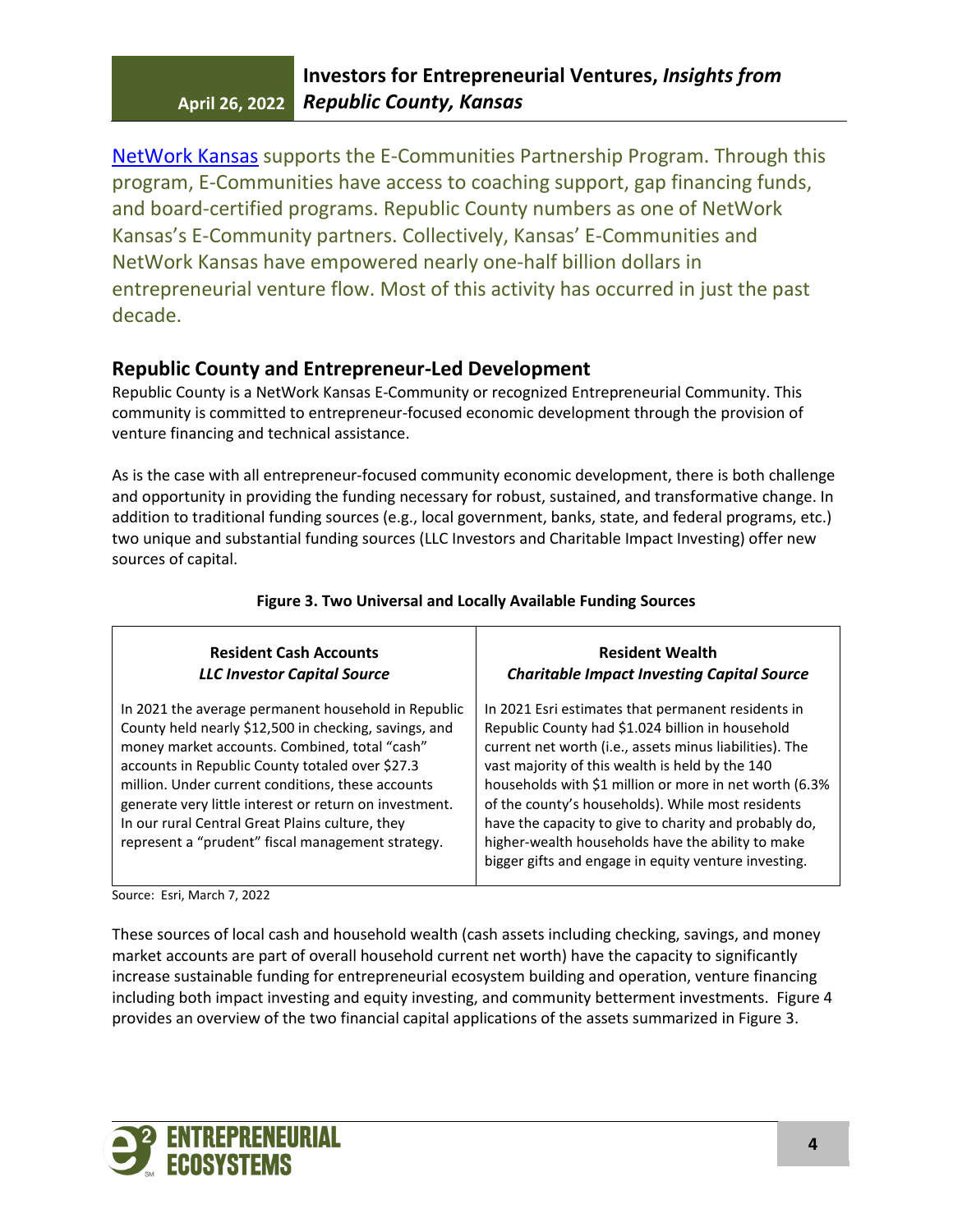NetWork Kansas supports the E-Communities Partnership Program. Through this program, E-Communities have access to coaching support, gap financing funds, and board-certified programs. Republic County numbers as one of NetWork Kansas's E-Community partners. Collectively, Kansas' E-Communities and NetWork Kansas have empowered nearly one-half billion dollars in entrepreneurial venture flow. Most of this activity has occurred in just the past decade.

## **Republic County and Entrepreneur-Led Development**

Republic County is a NetWork Kansas E-Community or recognized Entrepreneurial Community. This community is committed to entrepreneur-focused economic development through the provision of venture financing and technical assistance.

As is the case with all entrepreneur-focused community economic development, there is both challenge and opportunity in providing the funding necessary for robust, sustained, and transformative change. In addition to traditional funding sources (e.g., local government, banks, state, and federal programs, etc.) two unique and substantial funding sources (LLC Investors and Charitable Impact Investing) offer new sources of capital.

| <b>Resident Cash Accounts</b>                                                                                                                                                                                                                                                                                                                                                                                                           | <b>Resident Wealth</b>                                                                                                                                                                                                                                                                                                                                                                                                                                                                                    |
|-----------------------------------------------------------------------------------------------------------------------------------------------------------------------------------------------------------------------------------------------------------------------------------------------------------------------------------------------------------------------------------------------------------------------------------------|-----------------------------------------------------------------------------------------------------------------------------------------------------------------------------------------------------------------------------------------------------------------------------------------------------------------------------------------------------------------------------------------------------------------------------------------------------------------------------------------------------------|
| <b>LLC Investor Capital Source</b>                                                                                                                                                                                                                                                                                                                                                                                                      | <b>Charitable Impact Investing Capital Source</b>                                                                                                                                                                                                                                                                                                                                                                                                                                                         |
| In 2021 the average permanent household in Republic<br>County held nearly \$12,500 in checking, savings, and<br>money market accounts. Combined, total "cash"<br>accounts in Republic County totaled over \$27.3<br>million. Under current conditions, these accounts<br>generate very little interest or return on investment.<br>In our rural Central Great Plains culture, they<br>represent a "prudent" fiscal management strategy. | In 2021 Esri estimates that permanent residents in<br>Republic County had \$1.024 billion in household<br>current net worth (i.e., assets minus liabilities). The<br>vast majority of this wealth is held by the 140<br>households with \$1 million or more in net worth (6.3%<br>of the county's households). While most residents<br>have the capacity to give to charity and probably do,<br>higher-wealth households have the ability to make<br>bigger gifts and engage in equity venture investing. |

## **Figure 3. Two Universal and Locally Available Funding Sources**

Source: Esri, March 7, 2022

These sources of local cash and household wealth (cash assets including checking, savings, and money market accounts are part of overall household current net worth) have the capacity to significantly increase sustainable funding for entrepreneurial ecosystem building and operation, venture financing including both impact investing and equity investing, and community betterment investments. Figure 4 provides an overview of the two financial capital applications of the assets summarized in Figure 3.

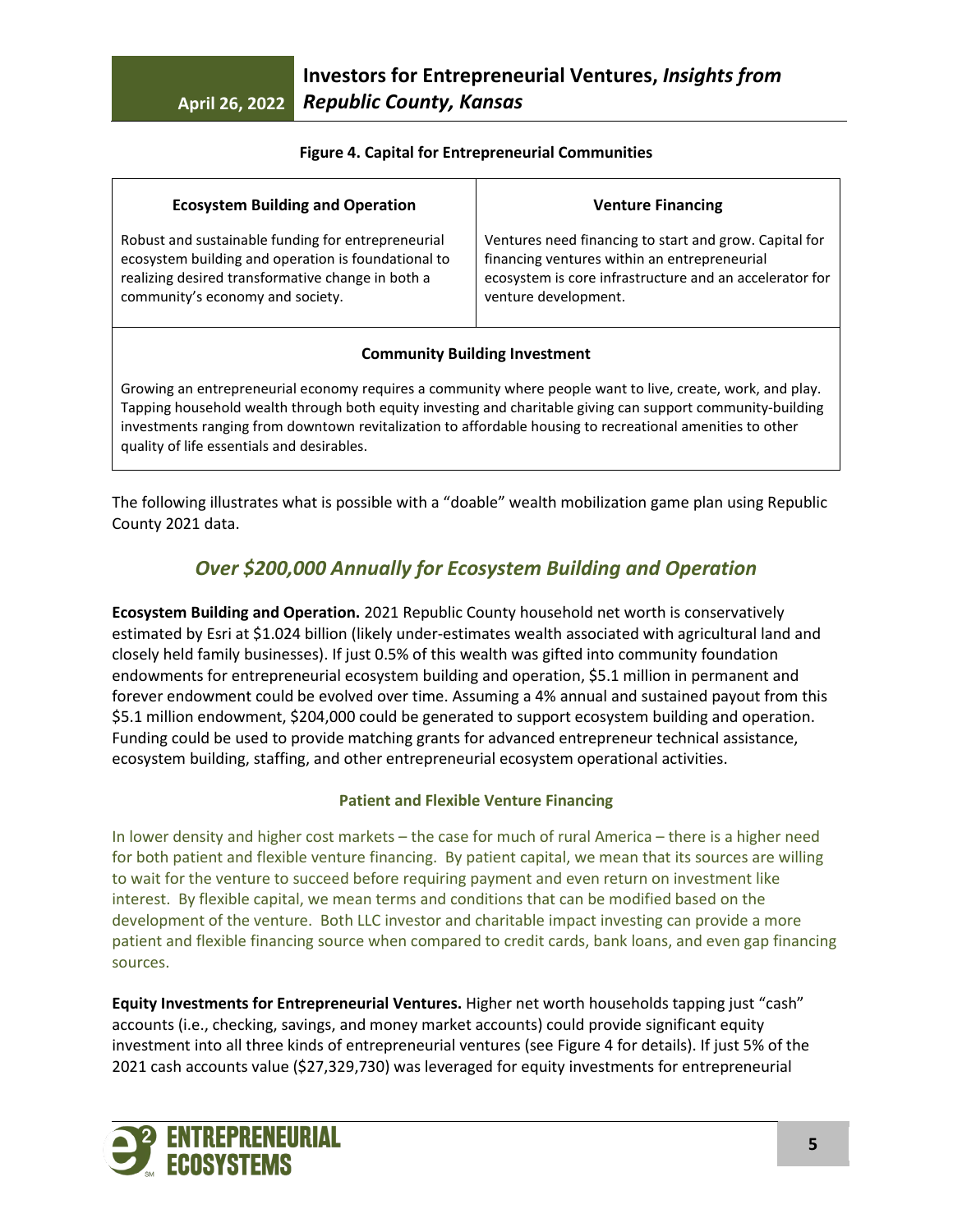### **Figure 4. Capital for Entrepreneurial Communities**

| <b>Ecosystem Building and Operation</b>             | <b>Venture Financing</b>                                |
|-----------------------------------------------------|---------------------------------------------------------|
| Robust and sustainable funding for entrepreneurial  | Ventures need financing to start and grow. Capital for  |
| ecosystem building and operation is foundational to | financing ventures within an entrepreneurial            |
| realizing desired transformative change in both a   | ecosystem is core infrastructure and an accelerator for |
| community's economy and society.                    | venture development.                                    |

### **Community Building Investment**

Growing an entrepreneurial economy requires a community where people want to live, create, work, and play. Tapping household wealth through both equity investing and charitable giving can support community-building investments ranging from downtown revitalization to affordable housing to recreational amenities to other quality of life essentials and desirables.

The following illustrates what is possible with a "doable" wealth mobilization game plan using Republic County 2021 data.

# *Over \$200,000 Annually for Ecosystem Building and Operation*

**Ecosystem Building and Operation.** 2021 Republic County household net worth is conservatively estimated by Esri at \$1.024 billion (likely under-estimates wealth associated with agricultural land and closely held family businesses). If just 0.5% of this wealth was gifted into community foundation endowments for entrepreneurial ecosystem building and operation, \$5.1 million in permanent and forever endowment could be evolved over time. Assuming a 4% annual and sustained payout from this \$5.1 million endowment, \$204,000 could be generated to support ecosystem building and operation. Funding could be used to provide matching grants for advanced entrepreneur technical assistance, ecosystem building, staffing, and other entrepreneurial ecosystem operational activities.

### **Patient and Flexible Venture Financing**

In lower density and higher cost markets – the case for much of rural America – there is a higher need for both patient and flexible venture financing. By patient capital, we mean that its sources are willing to wait for the venture to succeed before requiring payment and even return on investment like interest. By flexible capital, we mean terms and conditions that can be modified based on the development of the venture. Both LLC investor and charitable impact investing can provide a more patient and flexible financing source when compared to credit cards, bank loans, and even gap financing sources.

**Equity Investments for Entrepreneurial Ventures.** Higher net worth households tapping just "cash" accounts (i.e., checking, savings, and money market accounts) could provide significant equity investment into all three kinds of entrepreneurial ventures (see Figure 4 for details). If just 5% of the 2021 cash accounts value (\$27,329,730) was leveraged for equity investments for entrepreneurial

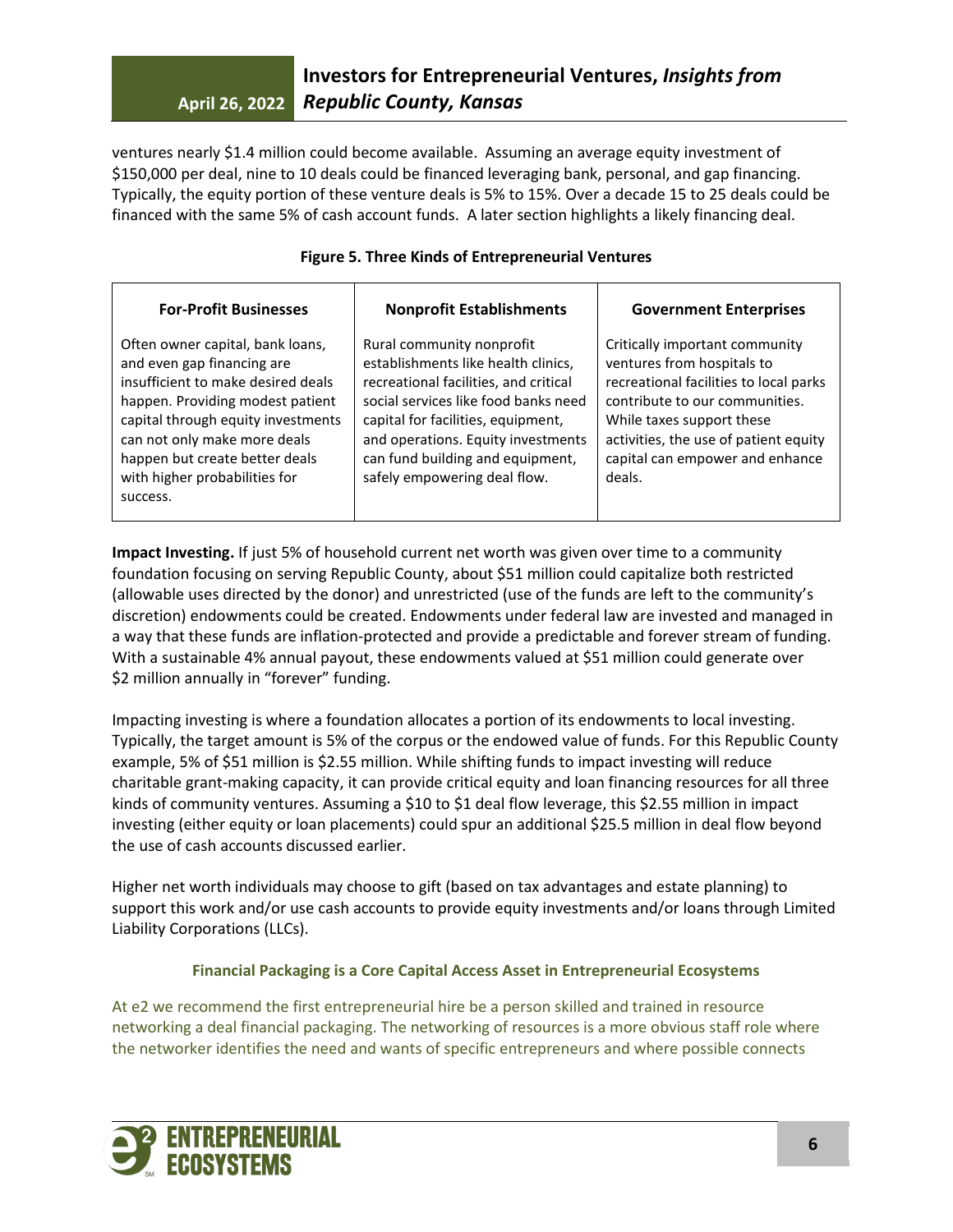ventures nearly \$1.4 million could become available. Assuming an average equity investment of \$150,000 per deal, nine to 10 deals could be financed leveraging bank, personal, and gap financing. Typically, the equity portion of these venture deals is 5% to 15%. Over a decade 15 to 25 deals could be financed with the same 5% of cash account funds. A later section highlights a likely financing deal.

| <b>For-Profit Businesses</b>                                                                                                                                                                                                                                                                  | <b>Nonprofit Establishments</b>                                                                                                                                                                                                                                                                   | <b>Government Enterprises</b>                                                                                                                                                                                                                               |
|-----------------------------------------------------------------------------------------------------------------------------------------------------------------------------------------------------------------------------------------------------------------------------------------------|---------------------------------------------------------------------------------------------------------------------------------------------------------------------------------------------------------------------------------------------------------------------------------------------------|-------------------------------------------------------------------------------------------------------------------------------------------------------------------------------------------------------------------------------------------------------------|
| Often owner capital, bank loans,<br>and even gap financing are<br>insufficient to make desired deals<br>happen. Providing modest patient<br>capital through equity investments<br>can not only make more deals<br>happen but create better deals<br>with higher probabilities for<br>success. | Rural community nonprofit<br>establishments like health clinics,<br>recreational facilities, and critical<br>social services like food banks need<br>capital for facilities, equipment,<br>and operations. Equity investments<br>can fund building and equipment,<br>safely empowering deal flow. | Critically important community<br>ventures from hospitals to<br>recreational facilities to local parks<br>contribute to our communities.<br>While taxes support these<br>activities, the use of patient equity<br>capital can empower and enhance<br>deals. |

**Figure 5. Three Kinds of Entrepreneurial Ventures**

**Impact Investing.** If just 5% of household current net worth was given over time to a community foundation focusing on serving Republic County, about \$51 million could capitalize both restricted (allowable uses directed by the donor) and unrestricted (use of the funds are left to the community's discretion) endowments could be created. Endowments under federal law are invested and managed in a way that these funds are inflation-protected and provide a predictable and forever stream of funding. With a sustainable 4% annual payout, these endowments valued at \$51 million could generate over \$2 million annually in "forever" funding.

Impacting investing is where a foundation allocates a portion of its endowments to local investing. Typically, the target amount is 5% of the corpus or the endowed value of funds. For this Republic County example, 5% of \$51 million is \$2.55 million. While shifting funds to impact investing will reduce charitable grant-making capacity, it can provide critical equity and loan financing resources for all three kinds of community ventures. Assuming a \$10 to \$1 deal flow leverage, this \$2.55 million in impact investing (either equity or loan placements) could spur an additional \$25.5 million in deal flow beyond the use of cash accounts discussed earlier.

Higher net worth individuals may choose to gift (based on tax advantages and estate planning) to support this work and/or use cash accounts to provide equity investments and/or loans through Limited Liability Corporations (LLCs).

## **Financial Packaging is a Core Capital Access Asset in Entrepreneurial Ecosystems**

At e2 we recommend the first entrepreneurial hire be a person skilled and trained in resource networking a deal financial packaging. The networking of resources is a more obvious staff role where the networker identifies the need and wants of specific entrepreneurs and where possible connects

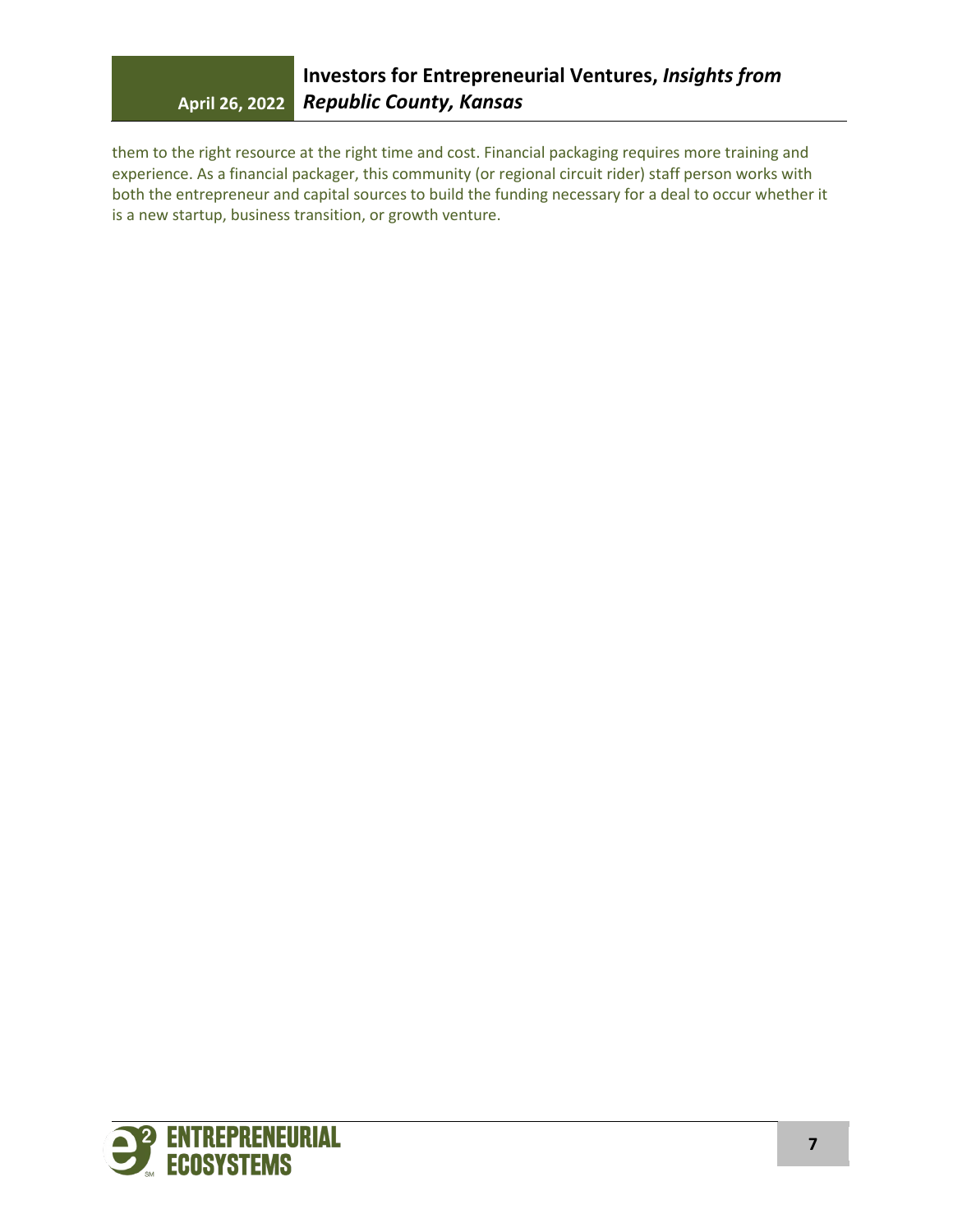them to the right resource at the right time and cost. Financial packaging requires more training and experience. As a financial packager, this community (or regional circuit rider) staff person works with both the entrepreneur and capital sources to build the funding necessary for a deal to occur whether it is a new startup, business transition, or growth venture.

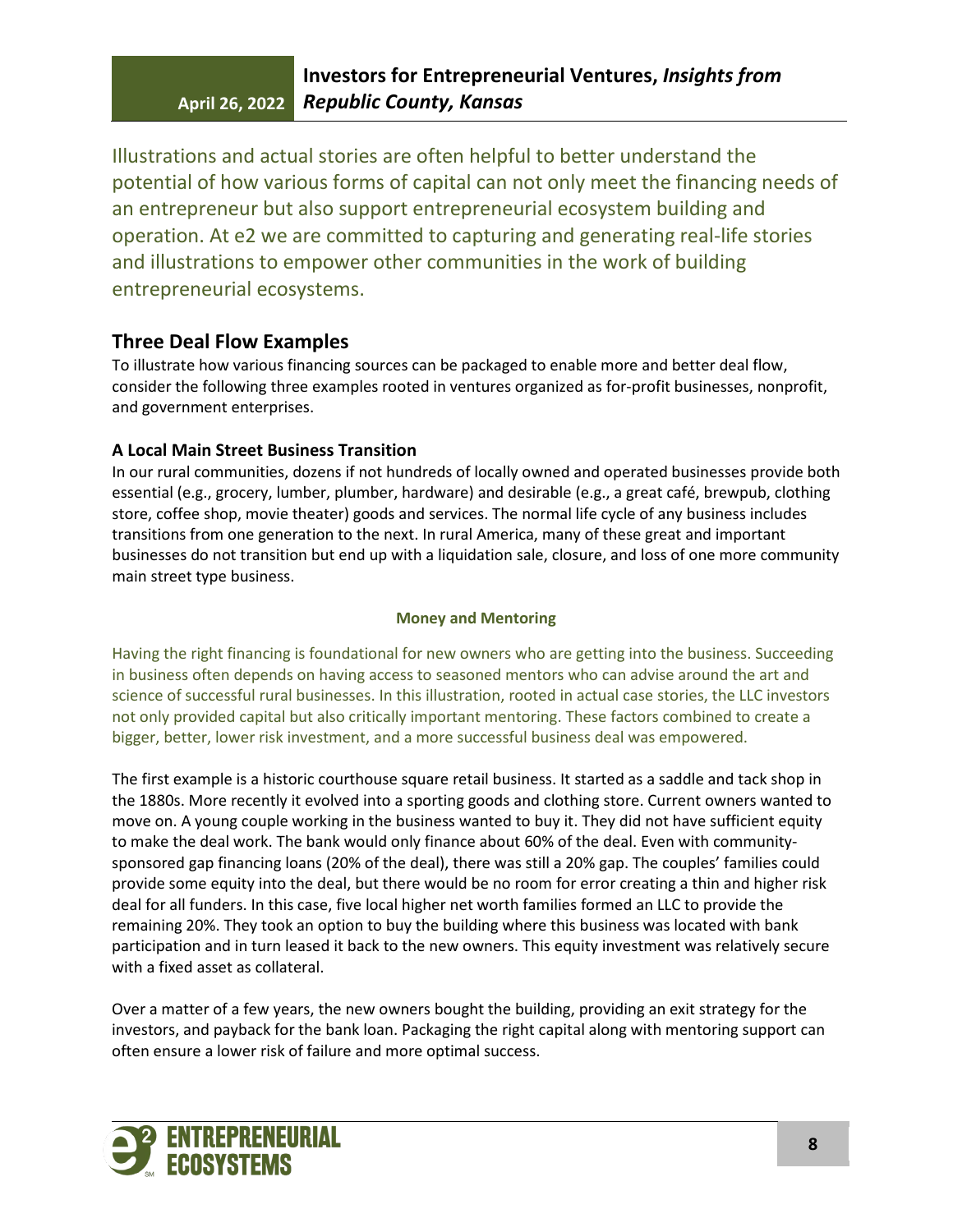Illustrations and actual stories are often helpful to better understand the potential of how various forms of capital can not only meet the financing needs of an entrepreneur but also support entrepreneurial ecosystem building and operation. At e2 we are committed to capturing and generating real-life stories and illustrations to empower other communities in the work of building entrepreneurial ecosystems.

## **Three Deal Flow Examples**

To illustrate how various financing sources can be packaged to enable more and better deal flow, consider the following three examples rooted in ventures organized as for-profit businesses, nonprofit, and government enterprises.

## **A Local Main Street Business Transition**

In our rural communities, dozens if not hundreds of locally owned and operated businesses provide both essential (e.g., grocery, lumber, plumber, hardware) and desirable (e.g., a great café, brewpub, clothing store, coffee shop, movie theater) goods and services. The normal life cycle of any business includes transitions from one generation to the next. In rural America, many of these great and important businesses do not transition but end up with a liquidation sale, closure, and loss of one more community main street type business.

### **Money and Mentoring**

Having the right financing is foundational for new owners who are getting into the business. Succeeding in business often depends on having access to seasoned mentors who can advise around the art and science of successful rural businesses. In this illustration, rooted in actual case stories, the LLC investors not only provided capital but also critically important mentoring. These factors combined to create a bigger, better, lower risk investment, and a more successful business deal was empowered.

The first example is a historic courthouse square retail business. It started as a saddle and tack shop in the 1880s. More recently it evolved into a sporting goods and clothing store. Current owners wanted to move on. A young couple working in the business wanted to buy it. They did not have sufficient equity to make the deal work. The bank would only finance about 60% of the deal. Even with communitysponsored gap financing loans (20% of the deal), there was still a 20% gap. The couples' families could provide some equity into the deal, but there would be no room for error creating a thin and higher risk deal for all funders. In this case, five local higher net worth families formed an LLC to provide the remaining 20%. They took an option to buy the building where this business was located with bank participation and in turn leased it back to the new owners. This equity investment was relatively secure with a fixed asset as collateral.

Over a matter of a few years, the new owners bought the building, providing an exit strategy for the investors, and payback for the bank loan. Packaging the right capital along with mentoring support can often ensure a lower risk of failure and more optimal success.

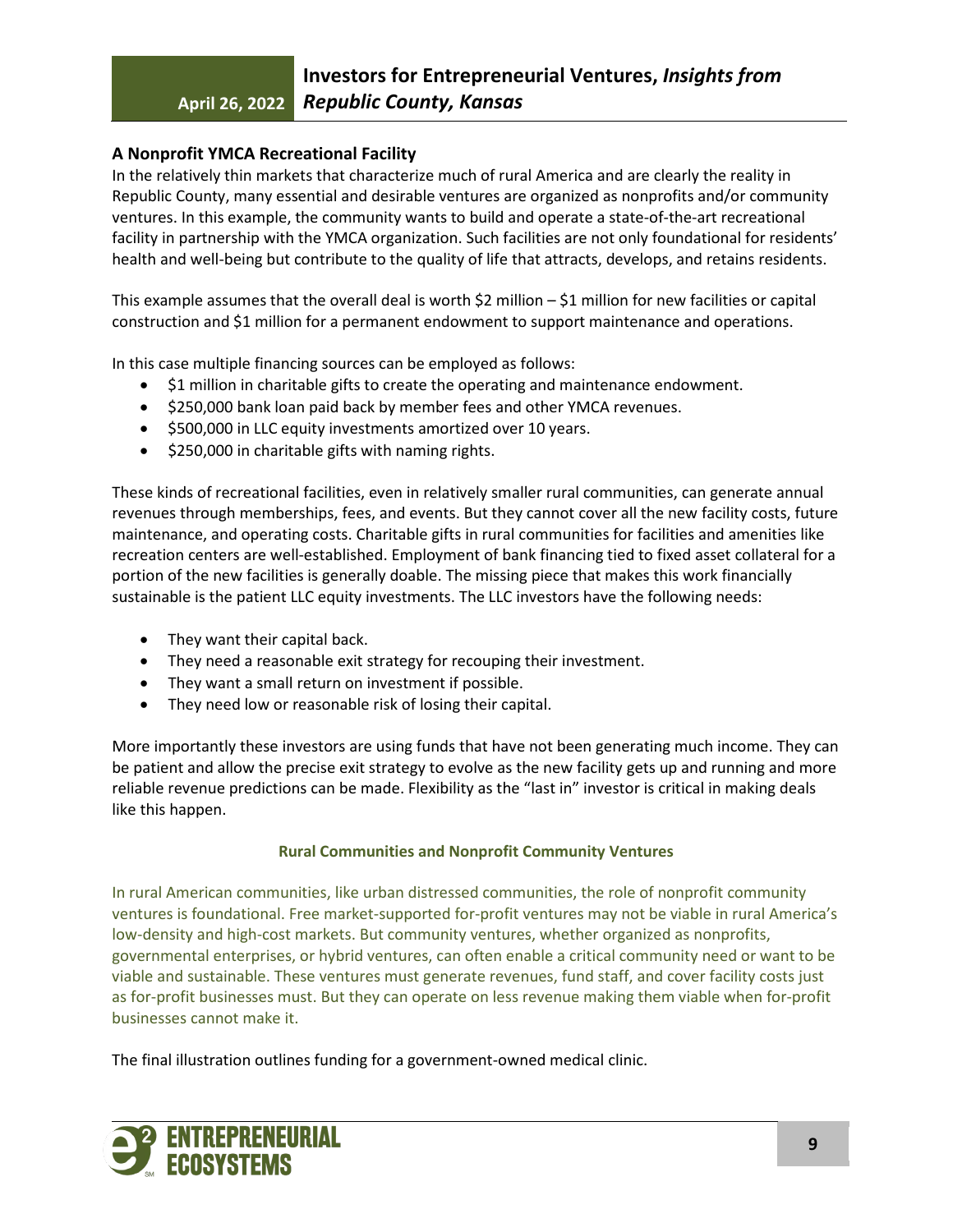## **A Nonprofit YMCA Recreational Facility**

In the relatively thin markets that characterize much of rural America and are clearly the reality in Republic County, many essential and desirable ventures are organized as nonprofits and/or community ventures. In this example, the community wants to build and operate a state-of-the-art recreational facility in partnership with the YMCA organization. Such facilities are not only foundational for residents' health and well-being but contribute to the quality of life that attracts, develops, and retains residents.

This example assumes that the overall deal is worth \$2 million  $-$  \$1 million for new facilities or capital construction and \$1 million for a permanent endowment to support maintenance and operations.

In this case multiple financing sources can be employed as follows:

- \$1 million in charitable gifts to create the operating and maintenance endowment.
- \$250,000 bank loan paid back by member fees and other YMCA revenues.
- \$500,000 in LLC equity investments amortized over 10 years.
- \$250,000 in charitable gifts with naming rights.

These kinds of recreational facilities, even in relatively smaller rural communities, can generate annual revenues through memberships, fees, and events. But they cannot cover all the new facility costs, future maintenance, and operating costs. Charitable gifts in rural communities for facilities and amenities like recreation centers are well-established. Employment of bank financing tied to fixed asset collateral for a portion of the new facilities is generally doable. The missing piece that makes this work financially sustainable is the patient LLC equity investments. The LLC investors have the following needs:

- They want their capital back.
- They need a reasonable exit strategy for recouping their investment.
- They want a small return on investment if possible.
- They need low or reasonable risk of losing their capital.

More importantly these investors are using funds that have not been generating much income. They can be patient and allow the precise exit strategy to evolve as the new facility gets up and running and more reliable revenue predictions can be made. Flexibility as the "last in" investor is critical in making deals like this happen.

### **Rural Communities and Nonprofit Community Ventures**

In rural American communities, like urban distressed communities, the role of nonprofit community ventures is foundational. Free market-supported for-profit ventures may not be viable in rural America's low-density and high-cost markets. But community ventures, whether organized as nonprofits, governmental enterprises, or hybrid ventures, can often enable a critical community need or want to be viable and sustainable. These ventures must generate revenues, fund staff, and cover facility costs just as for-profit businesses must. But they can operate on less revenue making them viable when for-profit businesses cannot make it.

The final illustration outlines funding for a government-owned medical clinic.

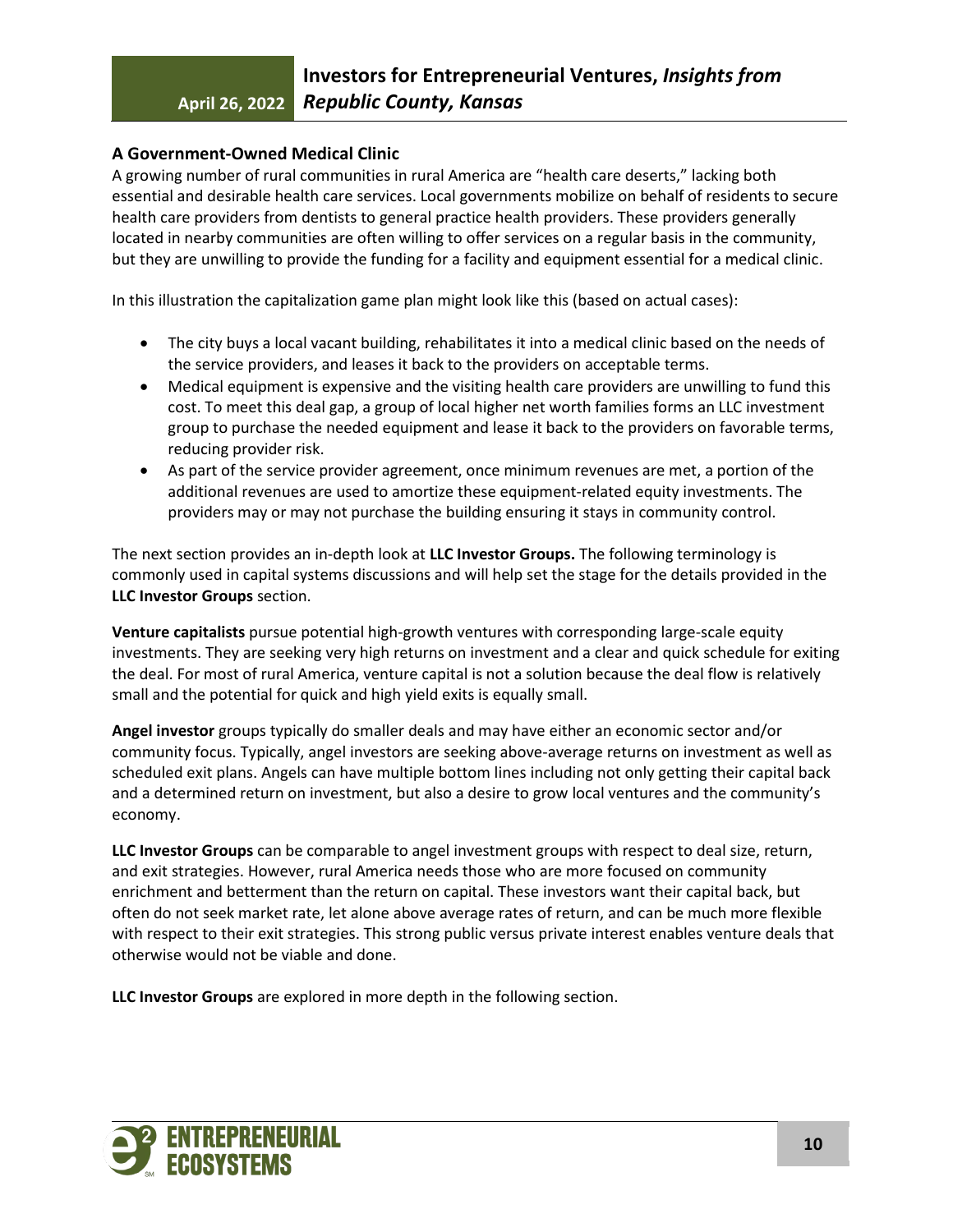## **A Government-Owned Medical Clinic**

A growing number of rural communities in rural America are "health care deserts," lacking both essential and desirable health care services. Local governments mobilize on behalf of residents to secure health care providers from dentists to general practice health providers. These providers generally located in nearby communities are often willing to offer services on a regular basis in the community, but they are unwilling to provide the funding for a facility and equipment essential for a medical clinic.

In this illustration the capitalization game plan might look like this (based on actual cases):

- The city buys a local vacant building, rehabilitates it into a medical clinic based on the needs of the service providers, and leases it back to the providers on acceptable terms.
- Medical equipment is expensive and the visiting health care providers are unwilling to fund this cost. To meet this deal gap, a group of local higher net worth families forms an LLC investment group to purchase the needed equipment and lease it back to the providers on favorable terms, reducing provider risk.
- As part of the service provider agreement, once minimum revenues are met, a portion of the additional revenues are used to amortize these equipment-related equity investments. The providers may or may not purchase the building ensuring it stays in community control.

The next section provides an in-depth look at **LLC Investor Groups.** The following terminology is commonly used in capital systems discussions and will help set the stage for the details provided in the **LLC Investor Groups** section.

**Venture capitalists** pursue potential high-growth ventures with corresponding large-scale equity investments. They are seeking very high returns on investment and a clear and quick schedule for exiting the deal. For most of rural America, venture capital is not a solution because the deal flow is relatively small and the potential for quick and high yield exits is equally small.

**Angel investor** groups typically do smaller deals and may have either an economic sector and/or community focus. Typically, angel investors are seeking above-average returns on investment as well as scheduled exit plans. Angels can have multiple bottom lines including not only getting their capital back and a determined return on investment, but also a desire to grow local ventures and the community's economy.

**LLC Investor Groups** can be comparable to angel investment groups with respect to deal size, return, and exit strategies. However, rural America needs those who are more focused on community enrichment and betterment than the return on capital. These investors want their capital back, but often do not seek market rate, let alone above average rates of return, and can be much more flexible with respect to their exit strategies. This strong public versus private interest enables venture deals that otherwise would not be viable and done.

**LLC Investor Groups** are explored in more depth in the following section.

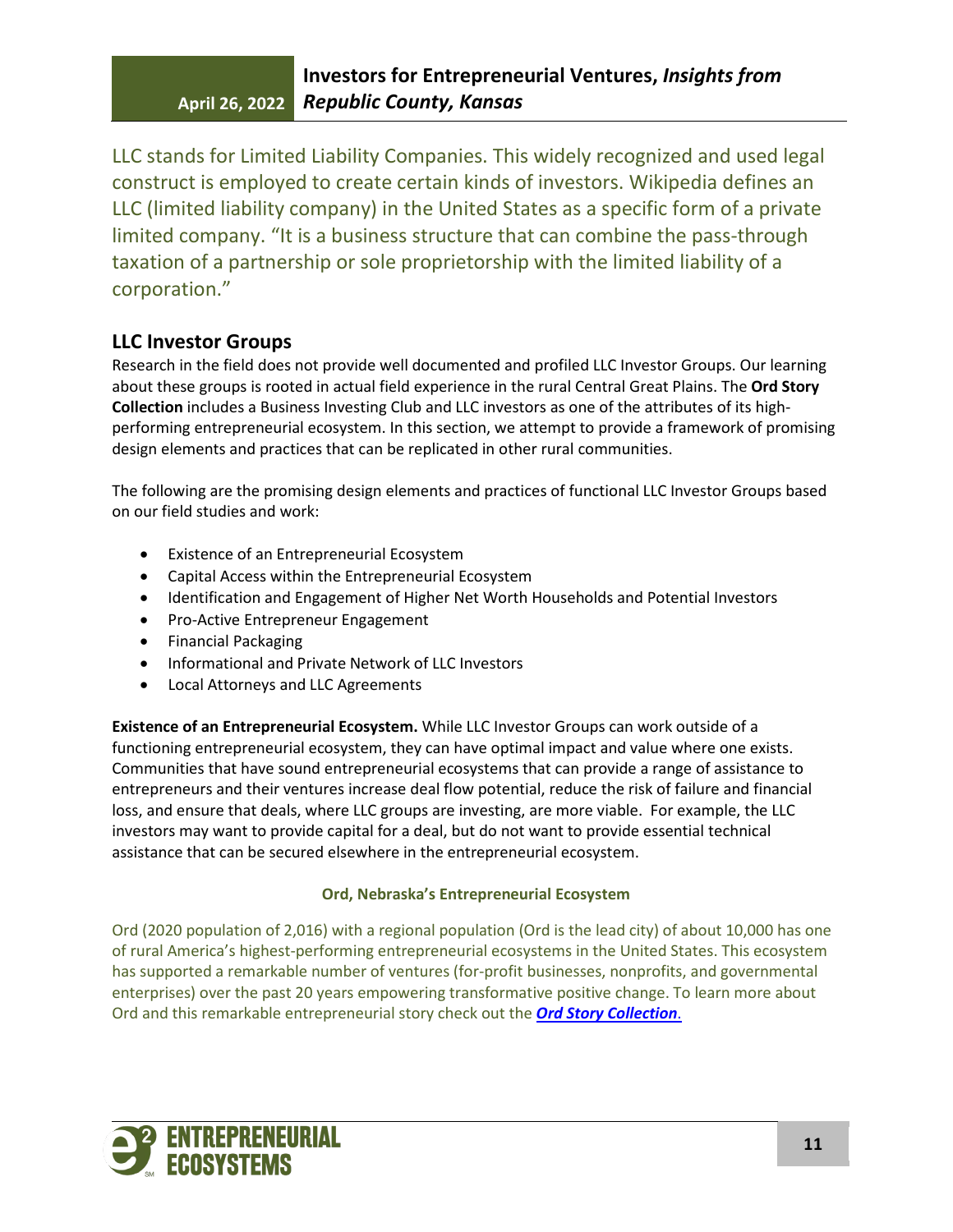LLC stands for Limited Liability Companies. This widely recognized and used legal construct is employed to create certain kinds of investors. Wikipedia defines an LLC (limited liability company) in the United States as a specific form of a private limited company. "It is a business structure that can combine the pass-through taxation of a partnership or sole proprietorship with the limited liability of a corporation."

# **LLC Investor Groups**

Research in the field does not provide well documented and profiled LLC Investor Groups. Our learning about these groups is rooted in actual field experience in the rural Central Great Plains. The **Ord Story Collection** includes a Business Investing Club and LLC investors as one of the attributes of its highperforming entrepreneurial ecosystem. In this section, we attempt to provide a framework of promising design elements and practices that can be replicated in other rural communities.

The following are the promising design elements and practices of functional LLC Investor Groups based on our field studies and work:

- Existence of an Entrepreneurial Ecosystem
- Capital Access within the Entrepreneurial Ecosystem
- Identification and Engagement of Higher Net Worth Households and Potential Investors
- Pro-Active Entrepreneur Engagement
- Financial Packaging
- Informational and Private Network of LLC Investors
- Local Attorneys and LLC Agreements

**Existence of an Entrepreneurial Ecosystem.** While LLC Investor Groups can work outside of a functioning entrepreneurial ecosystem, they can have optimal impact and value where one exists. Communities that have sound entrepreneurial ecosystems that can provide a range of assistance to entrepreneurs and their ventures increase deal flow potential, reduce the risk of failure and financial loss, and ensure that deals, where LLC groups are investing, are more viable. For example, the LLC investors may want to provide capital for a deal, but do not want to provide essential technical assistance that can be secured elsewhere in the entrepreneurial ecosystem.

### **Ord, Nebraska's Entrepreneurial Ecosystem**

Ord (2020 population of 2,016) with a regional population (Ord is the lead city) of about 10,000 has one of rural America's highest-performing entrepreneurial ecosystems in the United States. This ecosystem has supported a remarkable number of ventures (for-profit businesses, nonprofits, and governmental enterprises) over the past 20 years empowering transformative positive change. To learn more about Ord and this remarkable entrepreneurial story check out the *[Ord Story Collection](https://drive.google.com/file/d/1K2ScNJnuJmDnD4De-R_0Hw-NIYF5ADC5/view?usp=sharing)*.

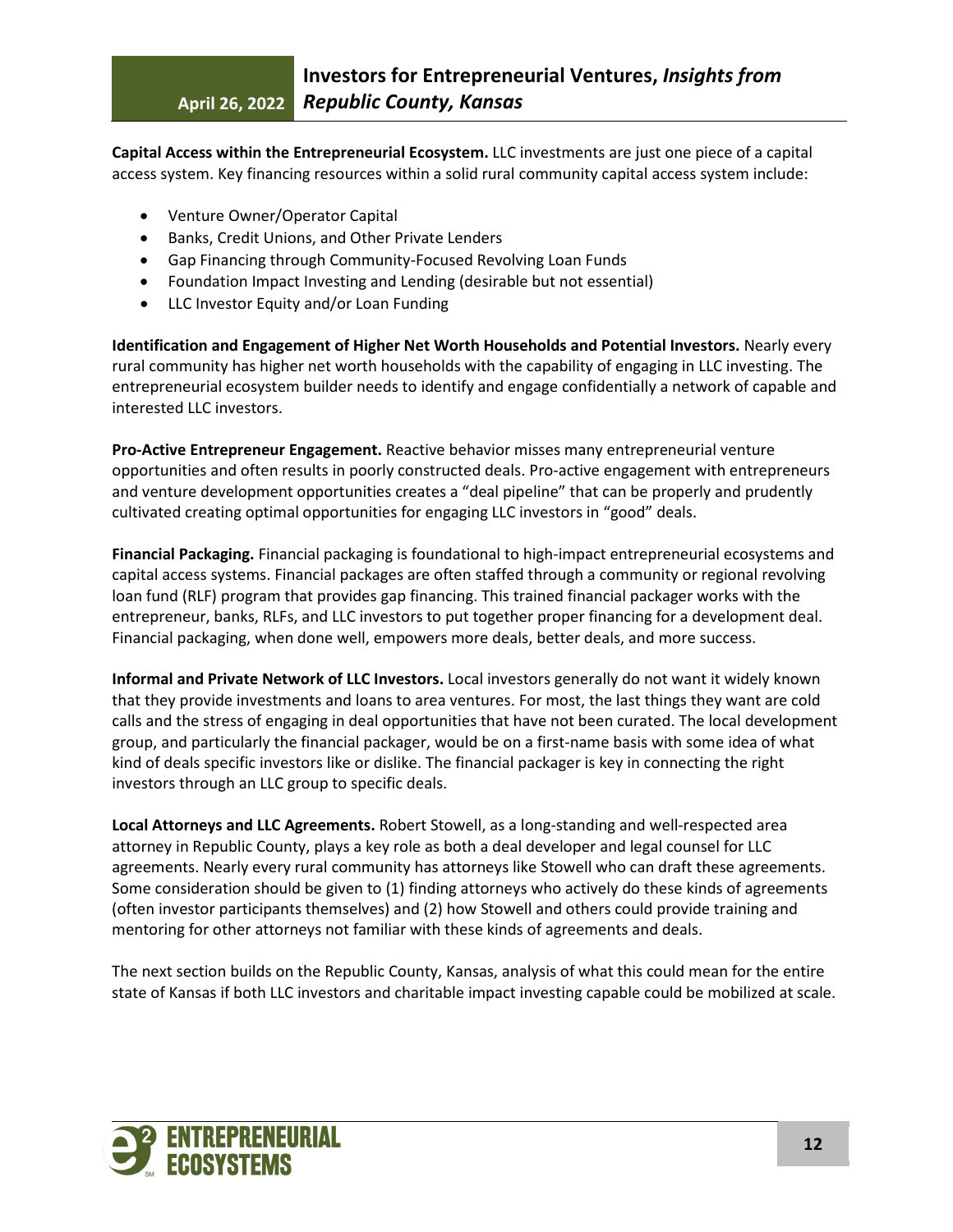**Capital Access within the Entrepreneurial Ecosystem.** LLC investments are just one piece of a capital access system. Key financing resources within a solid rural community capital access system include:

- Venture Owner/Operator Capital
- Banks, Credit Unions, and Other Private Lenders
- Gap Financing through Community-Focused Revolving Loan Funds
- Foundation Impact Investing and Lending (desirable but not essential)
- LLC Investor Equity and/or Loan Funding

**Identification and Engagement of Higher Net Worth Households and Potential Investors.** Nearly every rural community has higher net worth households with the capability of engaging in LLC investing. The entrepreneurial ecosystem builder needs to identify and engage confidentially a network of capable and interested LLC investors.

**Pro-Active Entrepreneur Engagement.** Reactive behavior misses many entrepreneurial venture opportunities and often results in poorly constructed deals. Pro-active engagement with entrepreneurs and venture development opportunities creates a "deal pipeline" that can be properly and prudently cultivated creating optimal opportunities for engaging LLC investors in "good" deals.

**Financial Packaging.** Financial packaging is foundational to high-impact entrepreneurial ecosystems and capital access systems. Financial packages are often staffed through a community or regional revolving loan fund (RLF) program that provides gap financing. This trained financial packager works with the entrepreneur, banks, RLFs, and LLC investors to put together proper financing for a development deal. Financial packaging, when done well, empowers more deals, better deals, and more success.

**Informal and Private Network of LLC Investors.** Local investors generally do not want it widely known that they provide investments and loans to area ventures. For most, the last things they want are cold calls and the stress of engaging in deal opportunities that have not been curated. The local development group, and particularly the financial packager, would be on a first-name basis with some idea of what kind of deals specific investors like or dislike. The financial packager is key in connecting the right investors through an LLC group to specific deals.

**Local Attorneys and LLC Agreements.** Robert Stowell, as a long-standing and well-respected area attorney in Republic County, plays a key role as both a deal developer and legal counsel for LLC agreements. Nearly every rural community has attorneys like Stowell who can draft these agreements. Some consideration should be given to (1) finding attorneys who actively do these kinds of agreements (often investor participants themselves) and (2) how Stowell and others could provide training and mentoring for other attorneys not familiar with these kinds of agreements and deals.

The next section builds on the Republic County, Kansas, analysis of what this could mean for the entire state of Kansas if both LLC investors and charitable impact investing capable could be mobilized at scale.

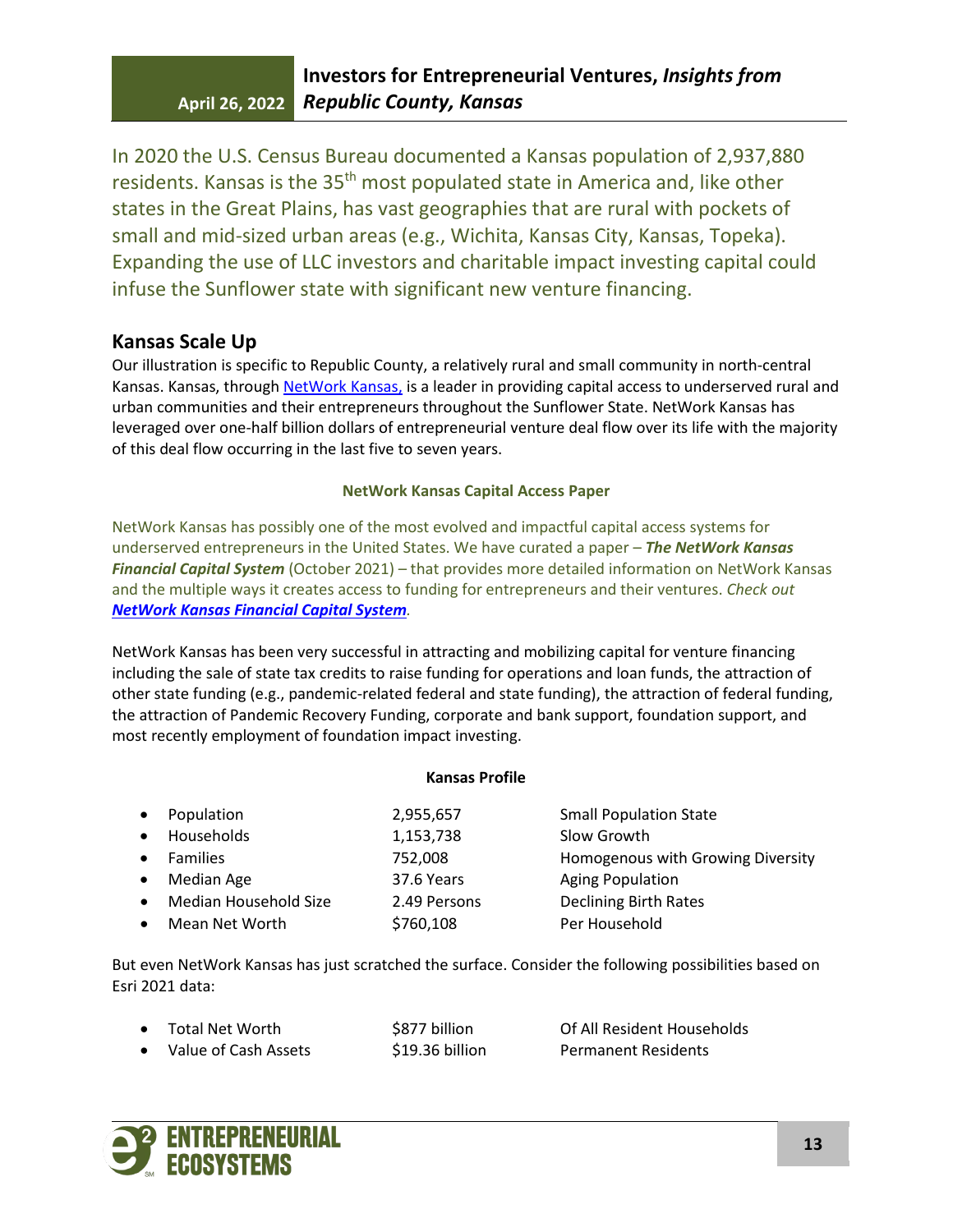In 2020 the U.S. Census Bureau documented a Kansas population of 2,937,880 residents. Kansas is the 35<sup>th</sup> most populated state in America and, like other states in the Great Plains, has vast geographies that are rural with pockets of small and mid-sized urban areas (e.g., Wichita, Kansas City, Kansas, Topeka). Expanding the use of LLC investors and charitable impact investing capital could infuse the Sunflower state with significant new venture financing.

## **Kansas Scale Up**

Our illustration is specific to Republic County, a relatively rural and small community in north-central Kansas. Kansas, through NetWork Kansas, is a leader in providing capital access to underserved rural and urban communities and their entrepreneurs throughout the Sunflower State. NetWork Kansas has leveraged over one-half billion dollars of entrepreneurial venture deal flow over its life with the majority of this deal flow occurring in the last five to seven years.

## **NetWork Kansas Capital Access Paper**

NetWork Kansas has possibly one of the most evolved and impactful capital access systems for underserved entrepreneurs in the United States. We have curated a paper – *The NetWork Kansas Financial Capital System* (October 2021) – that provides more detailed information on NetWork Kansas and the multiple ways it creates access to funding for entrepreneurs and their ventures. *Check out [NetWork Kansas Financial Capital System](https://www.energizingentrepreneurs.org/file_download/0cd6d354-c409-4884-842f-60754aa0a03e).* 

NetWork Kansas has been very successful in attracting and mobilizing capital for venture financing including the sale of state tax credits to raise funding for operations and loan funds, the attraction of other state funding (e.g., pandemic-related federal and state funding), the attraction of federal funding, the attraction of Pandemic Recovery Funding, corporate and bank support, foundation support, and most recently employment of foundation impact investing.

### **Kansas Profile**

|           | Population            | 2,955,657    | <b>Small Population State</b>     |
|-----------|-----------------------|--------------|-----------------------------------|
|           | Households            | 1,153,738    | Slow Growth                       |
|           | <b>Families</b>       | 752,008      | Homogenous with Growing Diversity |
| $\bullet$ | Median Age            | 37.6 Years   | <b>Aging Population</b>           |
|           | Median Household Size | 2.49 Persons | <b>Declining Birth Rates</b>      |
|           | Mean Net Worth        | \$760,108    | Per Household                     |
|           |                       |              |                                   |

But even NetWork Kansas has just scratched the surface. Consider the following possibilities based on Esri 2021 data:

• Total Net Worth **\$877 billion** Of All Resident Households • Value of Cash Assets **\$19.36 billion** Permanent Residents

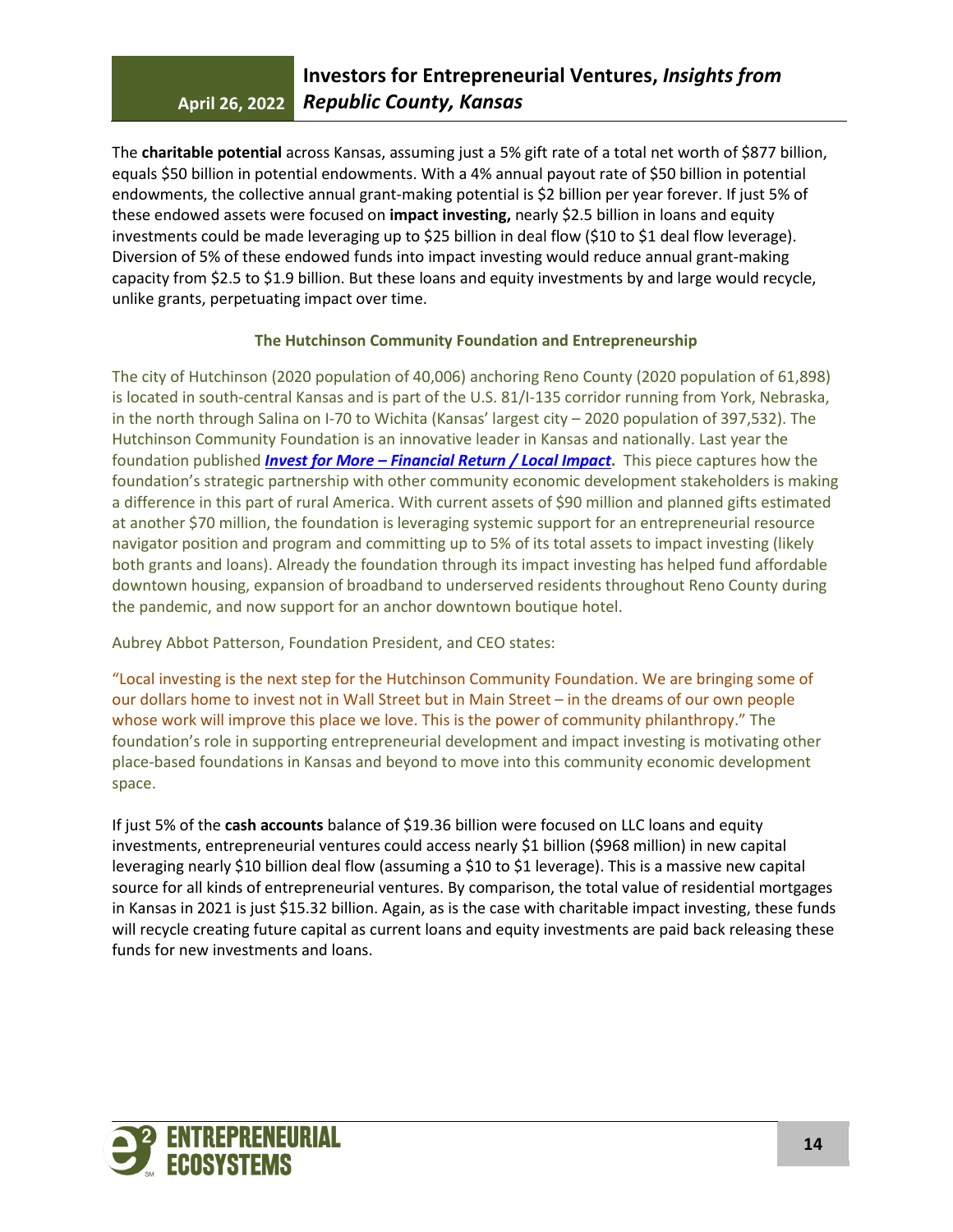The **charitable potential** across Kansas, assuming just a 5% gift rate of a total net worth of \$877 billion, equals \$50 billion in potential endowments. With a 4% annual payout rate of \$50 billion in potential endowments, the collective annual grant-making potential is \$2 billion per year forever. If just 5% of these endowed assets were focused on **impact investing,** nearly \$2.5 billion in loans and equity investments could be made leveraging up to \$25 billion in deal flow (\$10 to \$1 deal flow leverage). Diversion of 5% of these endowed funds into impact investing would reduce annual grant-making capacity from \$2.5 to \$1.9 billion. But these loans and equity investments by and large would recycle, unlike grants, perpetuating impact over time.

### **The Hutchinson Community Foundation and Entrepreneurship**

The city of Hutchinson (2020 population of 40,006) anchoring Reno County (2020 population of 61,898) is located in south-central Kansas and is part of the U.S. 81/I-135 corridor running from York, Nebraska, in the north through Salina on I-70 to Wichita (Kansas' largest city – 2020 population of 397,532). The Hutchinson Community Foundation is an innovative leader in Kansas and nationally. Last year the foundation published *[Invest for More – Financial Return / Local Impact](https://hutchcforg1.wpengine.com/wp-content/uploads/2021/11/HCF-Issue-Brief_FINAL-FOR-WEB.pdf)***.** This piece captures how the foundation's strategic partnership with other community economic development stakeholders is making a difference in this part of rural America. With current assets of \$90 million and planned gifts estimated at another \$70 million, the foundation is leveraging systemic support for an entrepreneurial resource navigator position and program and committing up to 5% of its total assets to impact investing (likely both grants and loans). Already the foundation through its impact investing has helped fund affordable downtown housing, expansion of broadband to underserved residents throughout Reno County during the pandemic, and now support for an anchor downtown boutique hotel.

Aubrey Abbot Patterson, Foundation President, and CEO states:

"Local investing is the next step for the Hutchinson Community Foundation. We are bringing some of our dollars home to invest not in Wall Street but in Main Street – in the dreams of our own people whose work will improve this place we love. This is the power of community philanthropy." The foundation's role in supporting entrepreneurial development and impact investing is motivating other place-based foundations in Kansas and beyond to move into this community economic development space.

If just 5% of the **cash accounts** balance of \$19.36 billion were focused on LLC loans and equity investments, entrepreneurial ventures could access nearly \$1 billion (\$968 million) in new capital leveraging nearly \$10 billion deal flow (assuming a \$10 to \$1 leverage). This is a massive new capital source for all kinds of entrepreneurial ventures. By comparison, the total value of residential mortgages in Kansas in 2021 is just \$15.32 billion. Again, as is the case with charitable impact investing, these funds will recycle creating future capital as current loans and equity investments are paid back releasing these funds for new investments and loans.